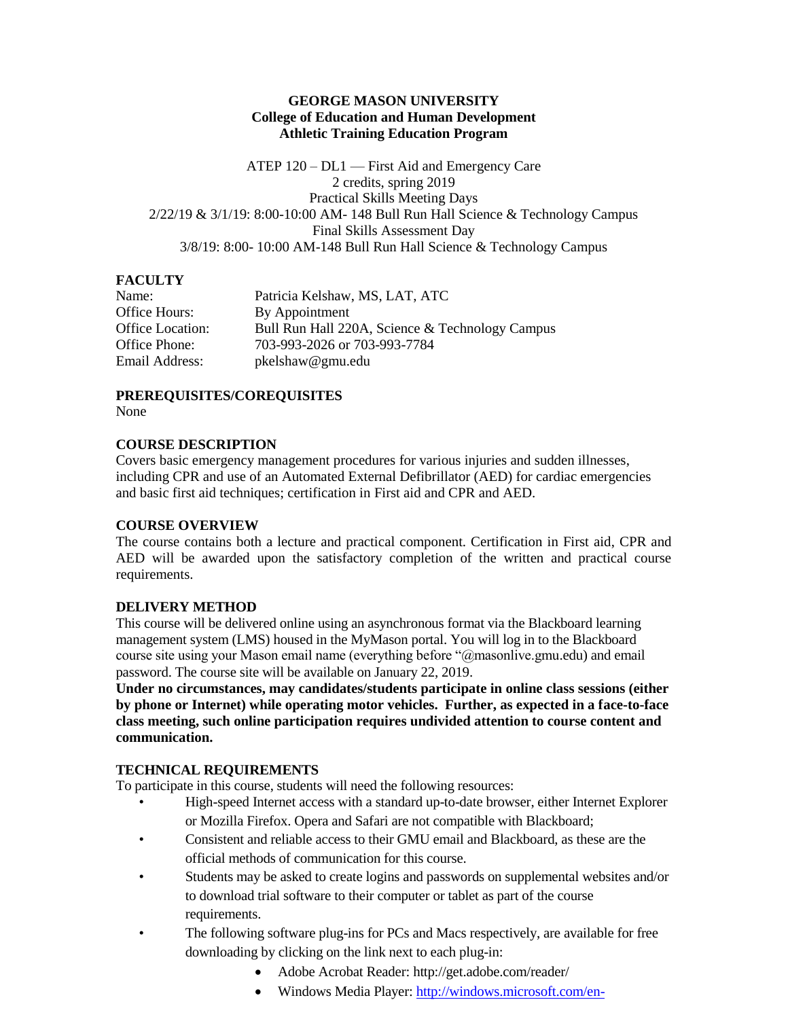#### **GEORGE MASON UNIVERSITY College of Education and Human Development Athletic Training Education Program**

ATEP 120 – DL1 — First Aid and Emergency Care 2 credits, spring 2019 Practical Skills Meeting Days 2/22/19 & 3/1/19: 8:00-10:00 AM- 148 Bull Run Hall Science & Technology Campus Final Skills Assessment Day 3/8/19: 8:00- 10:00 AM-148 Bull Run Hall Science & Technology Campus

### **FACULTY**

| Name:                   |
|-------------------------|
| Office Hours:           |
| <b>Office Location:</b> |
| Office Phone:           |
| Email Address:          |

Patricia Kelshaw, MS, LAT, ATC By Appointment Bull Run Hall 220A, Science & Technology Campus Office Phone: 703-993-2026 or 703-993-7784 pkelshaw@gmu.edu

# **PREREQUISITES/COREQUISITES**

None

#### **COURSE DESCRIPTION**

Covers basic emergency management procedures for various injuries and sudden illnesses, including CPR and use of an Automated External Defibrillator (AED) for cardiac emergencies and basic first aid techniques; certification in First aid and CPR and AED.

### **COURSE OVERVIEW**

The course contains both a lecture and practical component. Certification in First aid, CPR and AED will be awarded upon the satisfactory completion of the written and practical course requirements.

### **DELIVERY METHOD**

This course will be delivered online using an asynchronous format via the Blackboard learning management system (LMS) housed in the MyMason portal. You will log in to the Blackboard course site using your Mason email name (everything before "@masonlive.gmu.edu) and email password. The course site will be available on January 22, 2019.

**Under no circumstances, may candidates/students participate in online class sessions (either by phone or Internet) while operating motor vehicles. Further, as expected in a face-to-face class meeting, such online participation requires undivided attention to course content and communication.**

### **TECHNICAL REQUIREMENTS**

To participate in this course, students will need the following resources:

- High-speed Internet access with a standard up-to-date browser, either Internet Explorer or Mozilla Firefox. Opera and Safari are not compatible with Blackboard;
- Consistent and reliable access to their GMU email and Blackboard, as these are the official methods of communication for this course.
- Students may be asked to create logins and passwords on supplemental websites and/or to download trial software to their computer or tablet as part of the course requirements.
- The following software plug-ins for PCs and Macs respectively, are available for free downloading by clicking on the link next to each plug-in:
	- Adobe Acrobat Reader: http://get.adobe.com/reader/
	- Windows Media Player: [http://windows.microsoft.com/en-](http://windows.microsoft.com/en-US/windows/downloads/windows-media-player)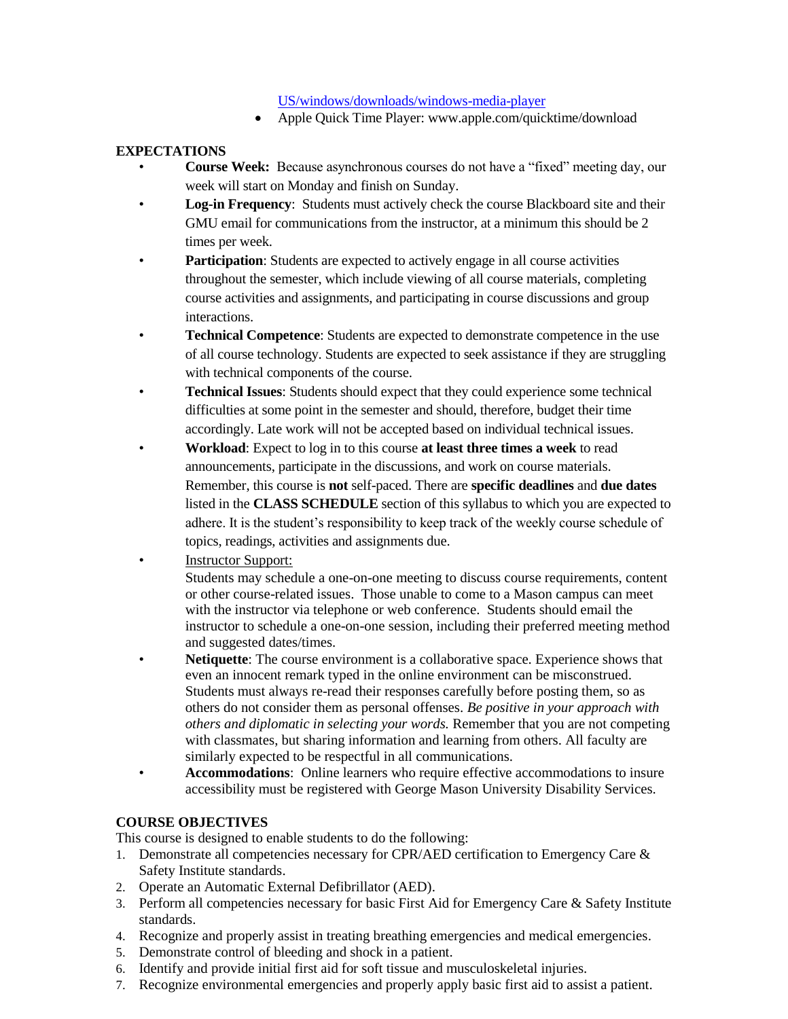#### [US/windows/downloads/windows-media-player](http://windows.microsoft.com/en-US/windows/downloads/windows-media-player)

• Apple Quick Time Player: www.apple.com/quicktime/download

### **EXPECTATIONS**

- **Course Week:** Because asynchronous courses do not have a "fixed" meeting day, our week will start on Monday and finish on Sunday.
- **Log-in Frequency**: Students must actively check the course Blackboard site and their GMU email for communications from the instructor, at a minimum this should be 2 times per week.
- Participation: Students are expected to actively engage in all course activities throughout the semester, which include viewing of all course materials, completing course activities and assignments, and participating in course discussions and group interactions.
- **Technical Competence**: Students are expected to demonstrate competence in the use of all course technology. Students are expected to seek assistance if they are struggling with technical components of the course.
- **Technical Issues**: Students should expect that they could experience some technical difficulties at some point in the semester and should, therefore, budget their time accordingly. Late work will not be accepted based on individual technical issues.
- **Workload**: Expect to log in to this course **at least three times a week** to read announcements, participate in the discussions, and work on course materials. Remember, this course is **not** self-paced. There are **specific deadlines** and **due dates** listed in the **CLASS SCHEDULE** section of this syllabus to which you are expected to adhere. It is the student's responsibility to keep track of the weekly course schedule of topics, readings, activities and assignments due.
- **Instructor Support:** Students may schedule a one-on-one meeting to discuss course requirements, content or other course-related issues. Those unable to come to a Mason campus can meet with the instructor via telephone or web conference. Students should email the instructor to schedule a one-on-one session, including their preferred meeting method and suggested dates/times.
- **Netiquette:** The course environment is a collaborative space. Experience shows that even an innocent remark typed in the online environment can be misconstrued. Students must always re-read their responses carefully before posting them, so as others do not consider them as personal offenses. *Be positive in your approach with others and diplomatic in selecting your words.* Remember that you are not competing with classmates, but sharing information and learning from others. All faculty are similarly expected to be respectful in all communications.
- **Accommodations**: Online learners who require effective accommodations to insure accessibility must be registered with George Mason University Disability Services.

# **COURSE OBJECTIVES**

This course is designed to enable students to do the following:

- 1. Demonstrate all competencies necessary for CPR/AED certification to Emergency Care & Safety Institute standards.
- 2. Operate an Automatic External Defibrillator (AED).
- 3. Perform all competencies necessary for basic First Aid for Emergency Care & Safety Institute standards.
- 4. Recognize and properly assist in treating breathing emergencies and medical emergencies.
- 5. Demonstrate control of bleeding and shock in a patient.
- 6. Identify and provide initial first aid for soft tissue and musculoskeletal injuries.
- 7. Recognize environmental emergencies and properly apply basic first aid to assist a patient.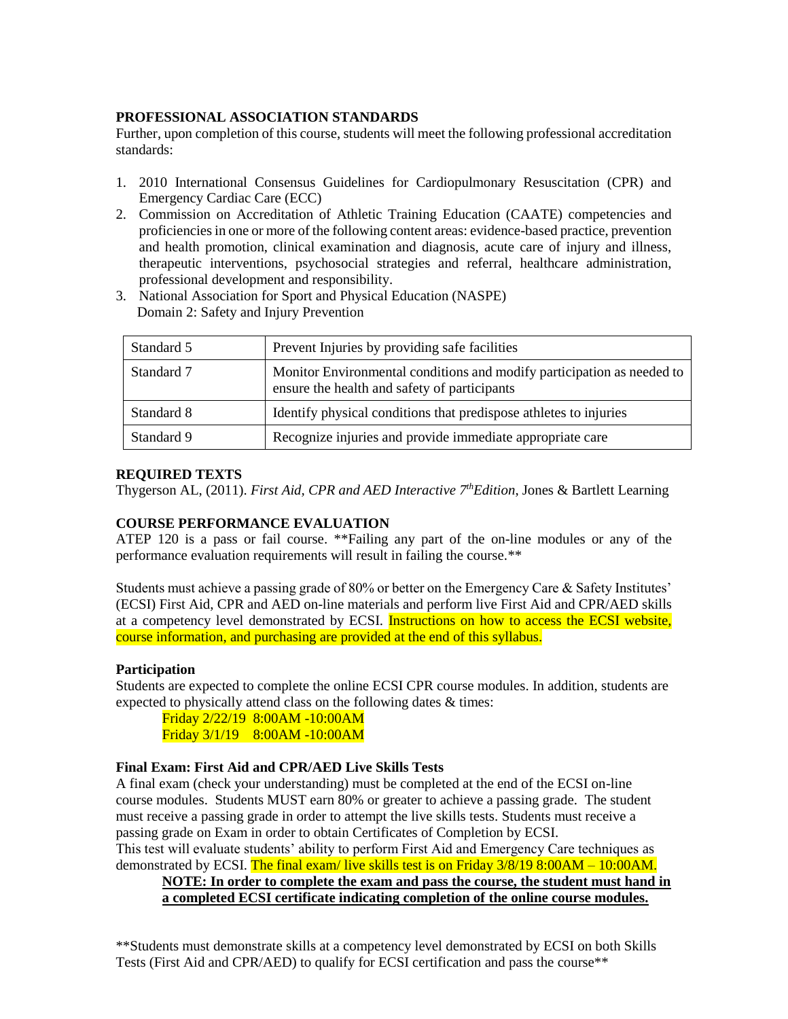# **PROFESSIONAL ASSOCIATION STANDARDS**

Further, upon completion of this course, students will meet the following professional accreditation standards:

- 1. 2010 International Consensus Guidelines for Cardiopulmonary Resuscitation (CPR) and Emergency Cardiac Care (ECC)
- 2. Commission on Accreditation of Athletic Training Education (CAATE) competencies and proficiencies in one or more of the following content areas: evidence-based practice, prevention and health promotion, clinical examination and diagnosis, acute care of injury and illness, therapeutic interventions, psychosocial strategies and referral, healthcare administration, professional development and responsibility.
- 3. National Association for Sport and Physical Education (NASPE) Domain 2: Safety and Injury Prevention

| Standard 5 | Prevent Injuries by providing safe facilities                                                                          |
|------------|------------------------------------------------------------------------------------------------------------------------|
| Standard 7 | Monitor Environmental conditions and modify participation as needed to<br>ensure the health and safety of participants |
| Standard 8 | Identify physical conditions that predispose athletes to injuries                                                      |
| Standard 9 | Recognize injuries and provide immediate appropriate care                                                              |

### **REQUIRED TEXTS**

Thygerson AL, (2011). *First Aid, CPR and AED Interactive 7thEdition*, Jones & Bartlett Learning

# **COURSE PERFORMANCE EVALUATION**

ATEP 120 is a pass or fail course. \*\*Failing any part of the on-line modules or any of the performance evaluation requirements will result in failing the course.\*\*

Students must achieve a passing grade of 80% or better on the Emergency Care & Safety Institutes' (ECSI) First Aid, CPR and AED on-line materials and perform live First Aid and CPR/AED skills at a competency level demonstrated by ECSI. Instructions on how to access the ECSI website, course information, and purchasing are provided at the end of this syllabus.

### **Participation**

Students are expected to complete the online ECSI CPR course modules. In addition, students are expected to physically attend class on the following dates  $\&$  times:

Friday 2/22/19 8:00AM -10:00AM Friday 3/1/19 8:00AM -10:00AM

### **Final Exam: First Aid and CPR/AED Live Skills Tests**

A final exam (check your understanding) must be completed at the end of the ECSI on-line course modules. Students MUST earn 80% or greater to achieve a passing grade. The student must receive a passing grade in order to attempt the live skills tests. Students must receive a passing grade on Exam in order to obtain Certificates of Completion by ECSI. This test will evaluate students' ability to perform First Aid and Emergency Care techniques as

demonstrated by ECSI. The final exam/live skills test is on Friday 3/8/19 8:00AM – 10:00AM. **NOTE: In order to complete the exam and pass the course, the student must hand in a completed ECSI certificate indicating completion of the online course modules.**

\*\*Students must demonstrate skills at a competency level demonstrated by ECSI on both Skills Tests (First Aid and CPR/AED) to qualify for ECSI certification and pass the course\*\*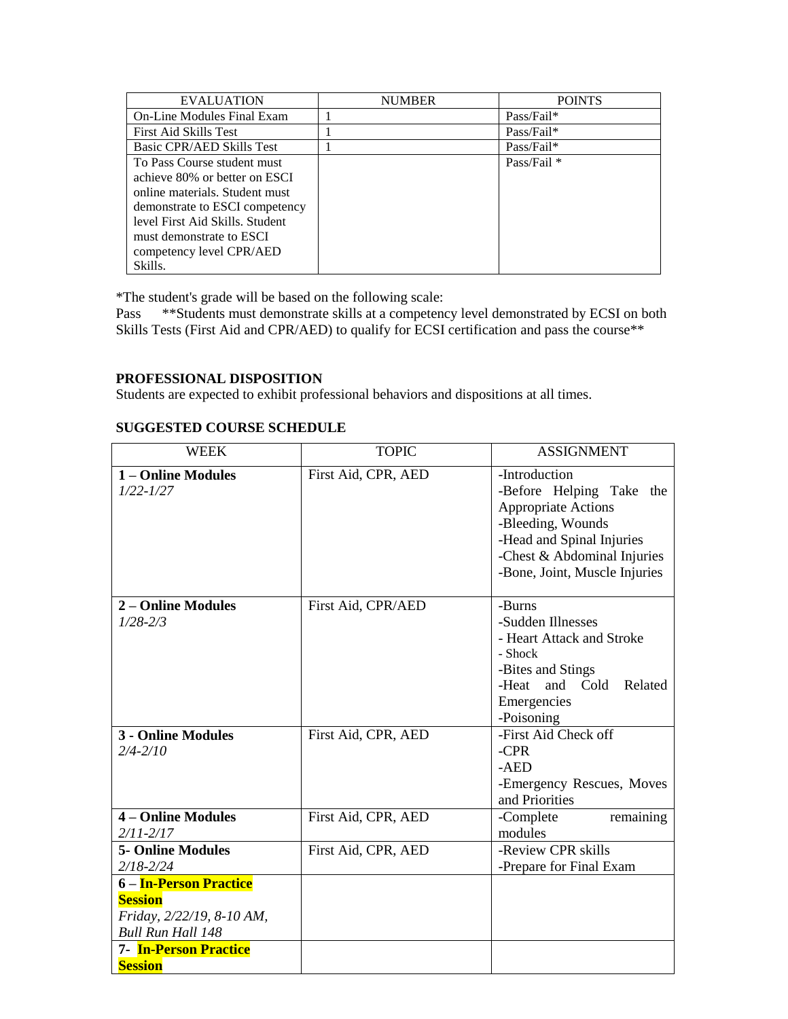| <b>EVALUATION</b>                | <b>NUMBER</b> | <b>POINTS</b>          |
|----------------------------------|---------------|------------------------|
| On-Line Modules Final Exam       |               | Pass/Fail*             |
| First Aid Skills Test            |               | Pass/Fail*             |
| <b>Basic CPR/AED Skills Test</b> |               | Pass/Fail*             |
| To Pass Course student must      |               | Pass/Fail <sup>*</sup> |
| achieve 80% or better on ESCI    |               |                        |
| online materials. Student must   |               |                        |
| demonstrate to ESCI competency   |               |                        |
| level First Aid Skills. Student  |               |                        |
| must demonstrate to ESCI         |               |                        |
| competency level CPR/AED         |               |                        |
| Skills.                          |               |                        |

\*The student's grade will be based on the following scale:

Pass \*\*Students must demonstrate skills at a competency level demonstrated by ECSI on both Skills Tests (First Aid and CPR/AED) to qualify for ECSI certification and pass the course\*\*

# **PROFESSIONAL DISPOSITION**

Students are expected to exhibit professional behaviors and dispositions at all times.

# **SUGGESTED COURSE SCHEDULE**

| <b>WEEK</b>                                                                                                                                         | <b>TOPIC</b>        | <b>ASSIGNMENT</b>                                                                                                                                                                         |
|-----------------------------------------------------------------------------------------------------------------------------------------------------|---------------------|-------------------------------------------------------------------------------------------------------------------------------------------------------------------------------------------|
| 1 - Online Modules<br>$1/22 - 1/27$                                                                                                                 | First Aid, CPR, AED | -Introduction<br>-Before Helping Take the<br><b>Appropriate Actions</b><br>-Bleeding, Wounds<br>-Head and Spinal Injuries<br>-Chest & Abdominal Injuries<br>-Bone, Joint, Muscle Injuries |
| 2 – Online Modules<br>$1/28 - 2/3$                                                                                                                  | First Aid, CPR/AED  | -Burns<br>-Sudden Illnesses<br>- Heart Attack and Stroke<br>- Shock<br>-Bites and Stings<br>-Heat<br>and Cold<br>Related<br>Emergencies<br>-Poisoning                                     |
| <b>3 - Online Modules</b><br>$2/4 - 2/10$                                                                                                           | First Aid, CPR, AED | -First Aid Check off<br>$-CPR$<br>$-AED$<br>-Emergency Rescues, Moves<br>and Priorities                                                                                                   |
| 4 – Online Modules<br>$2/11 - 2/17$                                                                                                                 | First Aid, CPR, AED | -Complete<br>remaining<br>modules                                                                                                                                                         |
| <b>5- Online Modules</b><br>$2/18 - 2/24$                                                                                                           | First Aid, CPR, AED | -Review CPR skills<br>-Prepare for Final Exam                                                                                                                                             |
| 6 – In-Person Practice<br><b>Session</b><br>Friday, 2/22/19, 8-10 AM,<br><b>Bull Run Hall 148</b><br><b>7- In-Person Practice</b><br><b>Session</b> |                     |                                                                                                                                                                                           |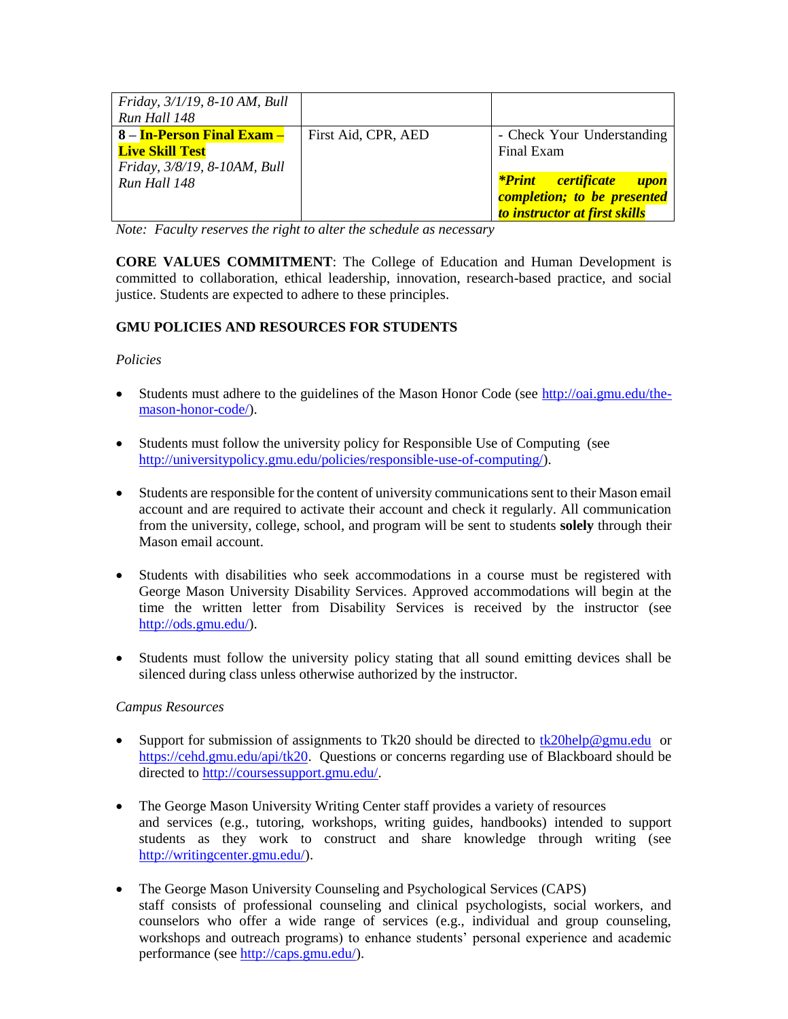| Friday, 3/1/19, 8-10 AM, Bull |                     |                                      |
|-------------------------------|---------------------|--------------------------------------|
| Run Hall 148                  |                     |                                      |
| 8 – In-Person Final Exam –    | First Aid, CPR, AED | - Check Your Understanding           |
| <b>Live Skill Test</b>        |                     | Final Exam                           |
| Friday, 3/8/19, 8-10AM, Bull  |                     |                                      |
| Run Hall 148                  |                     | <mark>*Print certificate upon</mark> |
|                               |                     | completion; to be presented          |
|                               |                     | to instructor at first skills        |

*Note: Faculty reserves the right to alter the schedule as necessary*

**CORE VALUES COMMITMENT**: The College of Education and Human Development is committed to collaboration, ethical leadership, innovation, research-based practice, and social justice. Students are expected to adhere to these principles.

### **GMU POLICIES AND RESOURCES FOR STUDENTS**

### *Policies*

- Students must adhere to the guidelines of the Mason Honor Code (see [http://oai.gmu.edu/the](http://oai.gmu.edu/the-mason-honor-code/)[mason-honor-code/\)](http://oai.gmu.edu/the-mason-honor-code/).
- Students must follow the university policy for Responsible Use of Computing (see [http://universitypolicy.gmu.edu/policies/responsible-use-of-computing/\)](http://universitypolicy.gmu.edu/policies/responsible-use-of-computing/).
- Students are responsible for the content of university communications sent to their Mason email account and are required to activate their account and check it regularly. All communication from the university, college, school, and program will be sent to students **solely** through their Mason email account.
- Students with disabilities who seek accommodations in a course must be registered with George Mason University Disability Services. Approved accommodations will begin at the time the written letter from Disability Services is received by the instructor (see [http://ods.gmu.edu/\)](http://ods.gmu.edu/).
- Students must follow the university policy stating that all sound emitting devices shall be silenced during class unless otherwise authorized by the instructor.

### *Campus Resources*

- Support for submission of assignments to Tk20 should be directed to [tk20help@gmu.edu](mailto:tk20help@gmu.edu) or [https://cehd.gmu.edu/api/tk20.](https://cehd.gmu.edu/api/tk20) Questions or concerns regarding use of Blackboard should be directed to [http://coursessupport.gmu.edu/.](http://coursessupport.gmu.edu/)
- The George Mason University Writing Center staff provides a variety of resources and services (e.g., tutoring, workshops, writing guides, handbooks) intended to support students as they work to construct and share knowledge through writing (see [http://writingcenter.gmu.edu/\)](http://writingcenter.gmu.edu/).
- The George Mason University Counseling and Psychological Services (CAPS) staff consists of professional counseling and clinical psychologists, social workers, and counselors who offer a wide range of services (e.g., individual and group counseling, workshops and outreach programs) to enhance students' personal experience and academic performance (see [http://caps.gmu.edu/\)](http://caps.gmu.edu/).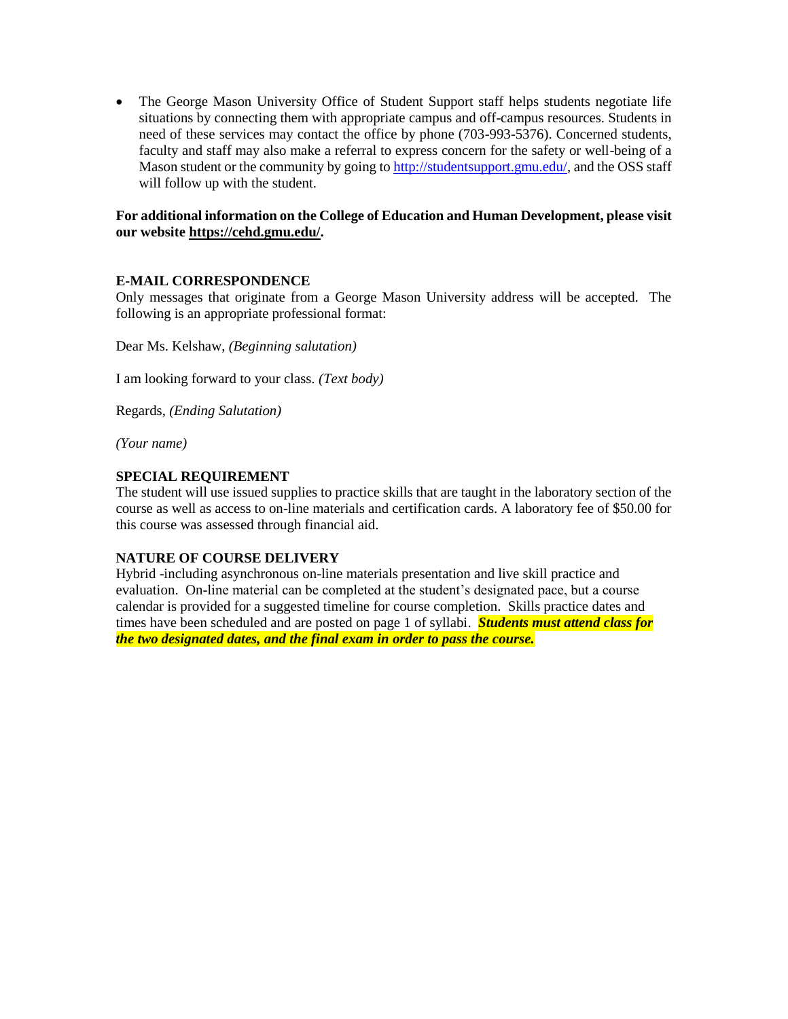• The George Mason University Office of Student Support staff helps students negotiate life situations by connecting them with appropriate campus and off-campus resources. Students in need of these services may contact the office by phone (703-993-5376). Concerned students, faculty and staff may also make a referral to express concern for the safety or well-being of a Mason student or the community by going to [http://studentsupport.gmu.edu/,](http://studentsupport.gmu.edu/) and the OSS staff will follow up with the student.

### **For additional information on the College of Education and Human Development, please visit our website https://cehd.gmu.edu/.**

### **E-MAIL CORRESPONDENCE**

Only messages that originate from a George Mason University address will be accepted. The following is an appropriate professional format:

Dear Ms. Kelshaw, *(Beginning salutation)*

I am looking forward to your class. *(Text body)*

Regards, *(Ending Salutation)*

*(Your name)*

### **SPECIAL REQUIREMENT**

The student will use issued supplies to practice skills that are taught in the laboratory section of the course as well as access to on-line materials and certification cards. A laboratory fee of \$50.00 for this course was assessed through financial aid.

### **NATURE OF COURSE DELIVERY**

Hybrid -including asynchronous on-line materials presentation and live skill practice and evaluation. On-line material can be completed at the student's designated pace, but a course calendar is provided for a suggested timeline for course completion. Skills practice dates and times have been scheduled and are posted on page 1 of syllabi. *Students must attend class for the two designated dates, and the final exam in order to pass the course.*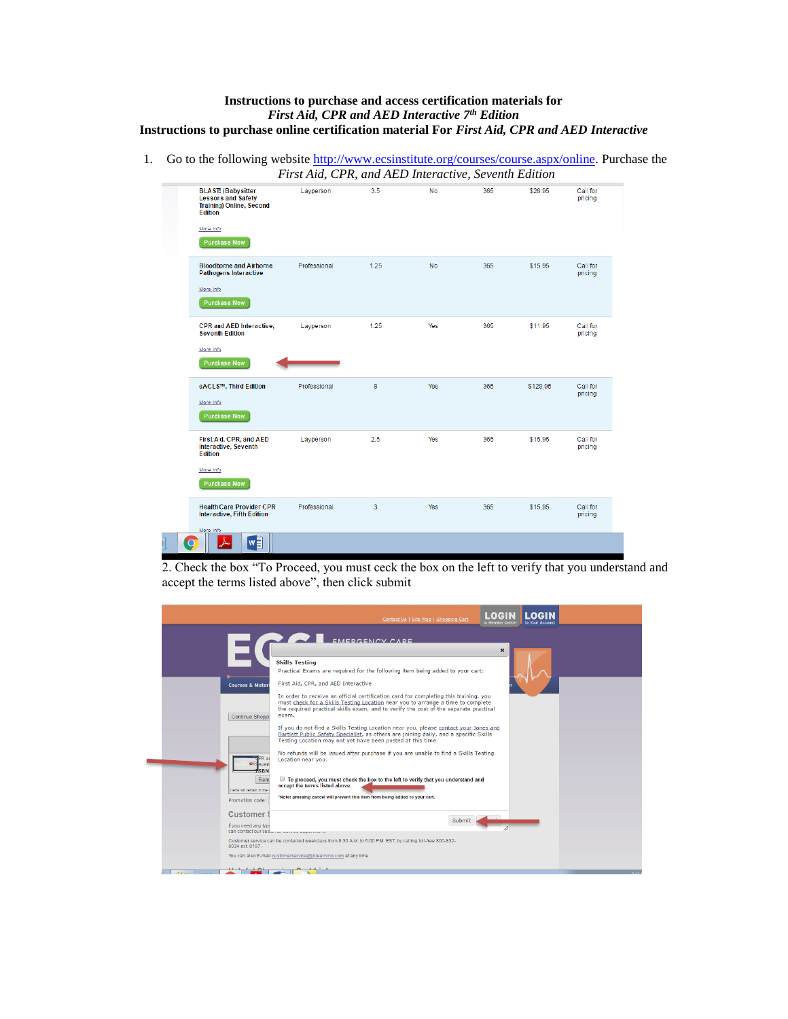#### **Instructions to purchase and access certification materials for**  *First Aid, CPR and AED Interactive 7 th Edition* **Instructions to purchase online certification material For** *First Aid, CPR and AED Interactive*

1. Go to the following website [http://www.ecsinstitute.org/courses/course.aspx/online.](http://www.ecsinstitute.org/courses/course.aspx/online) Purchase the *First Aid, CPR, and AED Interactive, Seventh Edition* 

|                                                                                                                                                 | I was thug of it, and the thickness, sevenin Battion |      |           |     |          |                     |
|-------------------------------------------------------------------------------------------------------------------------------------------------|------------------------------------------------------|------|-----------|-----|----------|---------------------|
| <b>BLAST!</b> (Babysitter<br><b>Lessons and Safety</b><br><b>Training) Online, Second</b><br><b>Edition</b><br>More Info<br><b>Purchase Now</b> | Lavperson                                            | 3.5  | <b>No</b> | 365 | \$26.95  | Call for<br>pricing |
| <b>Bloodborne and Airborne</b><br><b>Pathogens Interactive</b><br>More Info<br><b>Purchase Now</b>                                              | Professional                                         | 1.25 | <b>No</b> | 365 | \$15.95  | Call for<br>pricing |
| <b>CPR and AED Interactive,</b><br><b>Seventh Edition</b><br>More Info<br><b>Purchase Now</b>                                                   | Layperson                                            | 1.25 | Yes       | 365 | \$11.95  | Call for<br>pricing |
| eACLS™, Third Edition<br>More Info<br><b>Purchase Now</b>                                                                                       | Professional                                         | 8    | Yes       | 365 | \$129.95 | Call for<br>pricing |
| First Aid, CPR, and AED<br><b>Interactive, Seventh</b><br><b>Edition</b><br>More Info<br><b>Purchase Now</b>                                    | Layperson                                            | 2.5  | Yes       | 365 | \$15.95  | Call for<br>pricing |
| <b>Health Care Provider CPR</b><br>Interactive, Fifth Edition<br>More Info                                                                      | Professional                                         | 3    | Yes       | 365 | \$15.95  | Call for<br>pricing |
| w∃                                                                                                                                              |                                                      |      |           |     |          |                     |

2. Check the box "To Proceed, you must ceck the box on the left to verify that you understand and accept the terms listed above", then click submit

|                                             | Contact Us   Site Map   Shopping Cart                                                                                                                                                                                                                                    | $L$ orell                 |  |
|---------------------------------------------|--------------------------------------------------------------------------------------------------------------------------------------------------------------------------------------------------------------------------------------------------------------------------|---------------------------|--|
|                                             | <b>EMEDCENCY CADE</b>                                                                                                                                                                                                                                                    |                           |  |
|                                             |                                                                                                                                                                                                                                                                          | $\boldsymbol{\mathsf{x}}$ |  |
|                                             | <b>Skills Testing</b>                                                                                                                                                                                                                                                    |                           |  |
|                                             | Practical Exams are required for the following item being added to your cart:                                                                                                                                                                                            |                           |  |
| <b>Courses &amp; Materi</b>                 | First Aid, CPR, and AED Interactive                                                                                                                                                                                                                                      |                           |  |
| Continue Shoppi                             | In order to receive an official certification card for completing this training, you<br>must check for a Skills Testing Location near you to arrange a time to complete<br>the required practical skills exam, and to verify the cost of the separate practical<br>exam. |                           |  |
|                                             | If you do not find a Skills Testing Location near you, please contact your Jones and                                                                                                                                                                                     |                           |  |
|                                             | Bartlett Public Safety Specialist, as others are joining daily, and a specific Skills<br>Testing Location may not yet have been posted at this time.                                                                                                                     |                           |  |
| ever                                        | No refunds will be issued after purchase if you are unable to find a Skills Testing<br>Location near you.                                                                                                                                                                |                           |  |
| <b>SRN</b>                                  |                                                                                                                                                                                                                                                                          |                           |  |
| Rem                                         | ■ To proceed, you must check the box to the left to verify that you understand and<br>accept the terms listed above.                                                                                                                                                     |                           |  |
| Items will remain in the<br>Promotion code: | "Note: pressing cancel will prevent this item from being added to your cart.                                                                                                                                                                                             |                           |  |
|                                             |                                                                                                                                                                                                                                                                          |                           |  |
| <b>Customer!</b>                            | Submit                                                                                                                                                                                                                                                                   |                           |  |
| If you need any type                        | can contact our customer connectional and                                                                                                                                                                                                                                |                           |  |
| 0034 ext. 8197.                             | Customer service can be contacted weekdays from 8:30 A.M. to 5:00 P.M. EST, by calling toll-free 800-832-                                                                                                                                                                |                           |  |
|                                             | You can also E-mail customerservice@jblearning.com at any time.                                                                                                                                                                                                          |                           |  |
|                                             |                                                                                                                                                                                                                                                                          |                           |  |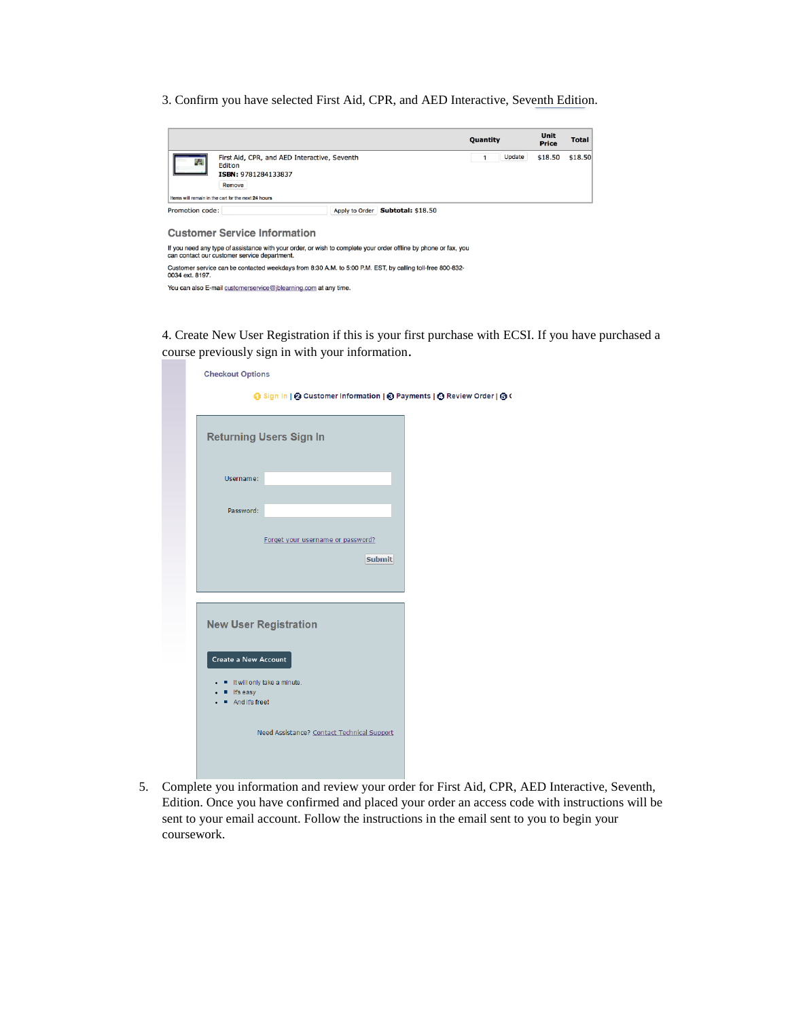3. Confirm you have selected First Aid, CPR, and AED Interactive, Seventh Edition.

|                 |                                                                                                                                                                 |                |                          | <b>Quantity</b> | <b>Unit</b><br><b>Price</b> | <b>Total</b> |
|-----------------|-----------------------------------------------------------------------------------------------------------------------------------------------------------------|----------------|--------------------------|-----------------|-----------------------------|--------------|
|                 | First Aid, CPR, and AED Interactive, Seventh<br>Edition<br>ISBN: 9781284133837<br>Remove                                                                        |                |                          | Update          | \$18.50                     | \$18.50      |
|                 | Items will remain in the cart for the next 24 hours                                                                                                             |                |                          |                 |                             |              |
| Promotion code: |                                                                                                                                                                 | Apply to Order | <b>Subtotal: \$18.50</b> |                 |                             |              |
|                 | <b>Customer Service Information</b>                                                                                                                             |                |                          |                 |                             |              |
|                 | If you need any type of assistance with your order, or wish to complete your order offline by phone or fax, you<br>can contact our customer service department. |                |                          |                 |                             |              |

can contact our customer service department.<br>Customer service can be contacted weekdays from 8:30 A.M. to 5:00 P.M. EST, by calling toll-free 800-832-<br>0034 ext. 8197. You can also E-mail customerservice@jblearning.com at any time.

4. Create New User Registration if this is your first purchase with ECSI. If you have purchased a course previously sign in with your information.

| <b>Checkout Options</b>                                  | ⊙ Sign In   2 Customer Information   ⊙ Payments   ⊙ Review Order   ⊙ C |  |
|----------------------------------------------------------|------------------------------------------------------------------------|--|
|                                                          | <b>Returning Users Sign In</b>                                         |  |
| Username:                                                |                                                                        |  |
| Password:                                                |                                                                        |  |
|                                                          | Forget your username or password?<br><b>Submit</b>                     |  |
| <b>New User Registration</b>                             |                                                                        |  |
| Create a New Account<br>It's easy<br>п<br>And it's free! | If It will only take a minute.                                         |  |
|                                                          | Need Assistance? Contact Technical Support                             |  |

5. Complete you information and review your order for First Aid, CPR, AED Interactive, Seventh, Edition. Once you have confirmed and placed your order an access code with instructions will be sent to your email account. Follow the instructions in the email sent to you to begin your coursework.